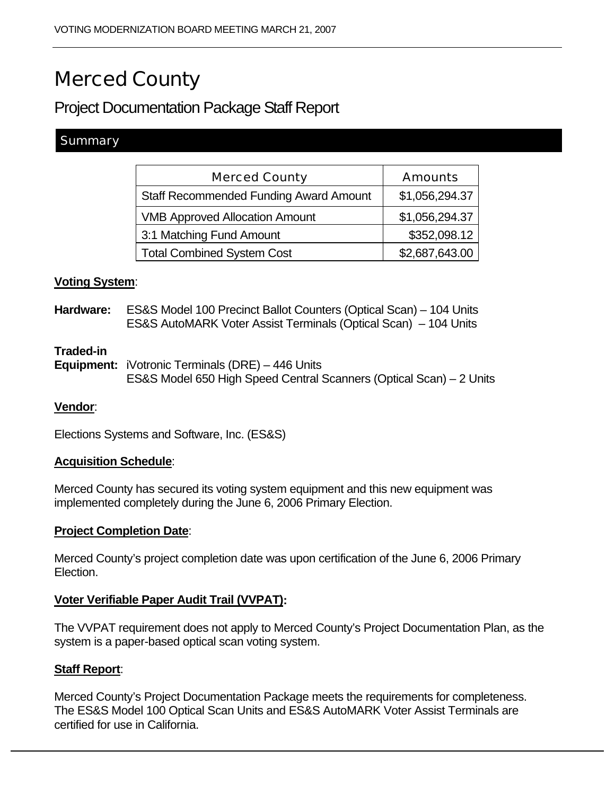# Merced County

# Project Documentation Package Staff Report

# **Summary**

| <b>Merced County</b>                          | <b>Amounts</b> |
|-----------------------------------------------|----------------|
| <b>Staff Recommended Funding Award Amount</b> | \$1,056,294.37 |
| <b>VMB Approved Allocation Amount</b>         | \$1,056,294.37 |
| 3:1 Matching Fund Amount                      | \$352,098.12   |
| <b>Total Combined System Cost</b>             | \$2,687,643.00 |

#### **Voting System**:

**Hardware:** ES&S Model 100 Precinct Ballot Counters (Optical Scan) – 104 Units ES&S AutoMARK Voter Assist Terminals (Optical Scan) – 104 Units

#### **Traded-in**

**Equipment:** iVotronic Terminals (DRE) – 446 Units ES&S Model 650 High Speed Central Scanners (Optical Scan) – 2 Units

#### **Vendor**:

Elections Systems and Software, Inc. (ES&S)

#### **Acquisition Schedule**:

Merced County has secured its voting system equipment and this new equipment was implemented completely during the June 6, 2006 Primary Election.

#### **Project Completion Date**:

Merced County's project completion date was upon certification of the June 6, 2006 Primary Election.

## **Voter Verifiable Paper Audit Trail (VVPAT):**

The VVPAT requirement does not apply to Merced County's Project Documentation Plan, as the system is a paper-based optical scan voting system.

#### **Staff Report**:

Merced County's Project Documentation Package meets the requirements for completeness. The ES&S Model 100 Optical Scan Units and ES&S AutoMARK Voter Assist Terminals are certified for use in California.